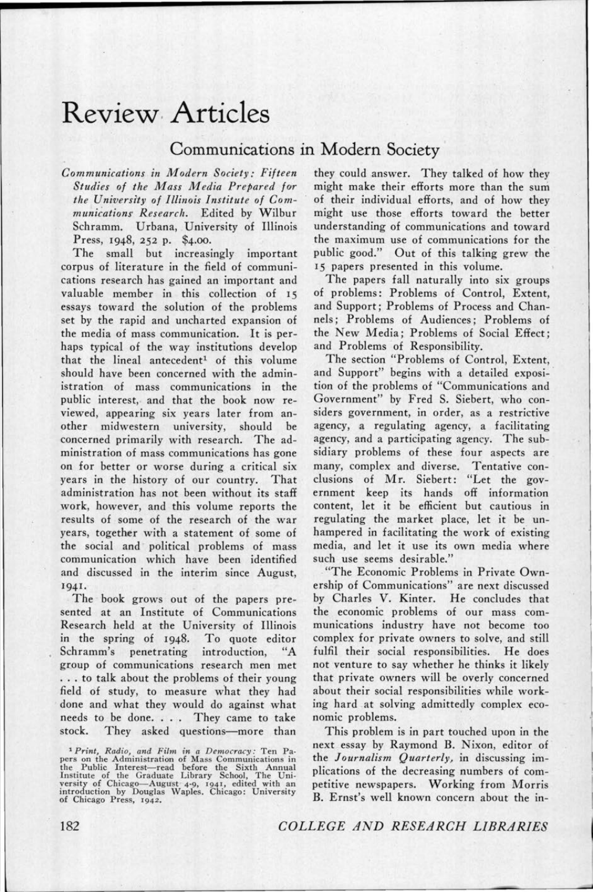## **Revie\.V· Articles**

## **Communications in Modern Society**

*Communications in Modern Society: Fifteen Studies of the Mass Media Prepared fo•r*  the University of Illinois Institute of Com*munications· Research.* Edited by Wilbur Schramm. Urbana, University of Illinois Press, 1948, 252 p. \$4.00.

The small but increasingly important corpus of literature in the field of communications research has gained an important and valuable member in this collection of 15 essays toward the solution of the problems set by the rapid and uncharted expansion of the media of mass communication. It is perhaps typical of the way institutions develop that the lineal antecedent<sup>1</sup> of this volume should have been concerned with the administration of mass communications in the public interest, and that the book now reviewed, appearing six years later from another midwestern university, should be concerned primarily with research. The administration of mass communications has gone on for better or worse during a critical six years in the history of our country. That administration has not been without its staff work, however, and this volume reports the results of some of the research of the war years, together with a statement of some of the social and political problems of mass communication which have been identified and discussed in the interim since August, 1941.

The book grows out of the papers presented at an Institute of Communications Research held at the University of Illinois in the spring of 1948. To quote editor<br>Schramm's penetrating introduction. "A Schramm's penetrating introduction, group of communications research men met ... to talk about the problems of their young field of study, to measure what they had done and what they would do against what needs to be done. . . They came to take stock. They asked questions-more than

<sup>1</sup>Print, Radio, and Film in a Democracy: Ten Pa-<br>pers on the Administration of Mass Communications in<br>the Public Interest--read before the Sixth Annual<br>Institute of the Graduate Library School, The University of Chicago-August 4-9, 1941, edited with an introduction by Douglas Waples. Chicago: University of Chicago Press, 1942.

they could answer. They talked of how they might make their efforts more than the sum of their individual efforts, and of how they might use those efforts toward the better understanding of communications and toward the maximum use of communications for the public good." Out of this talking grew the 15 papers presented in this volume.

The papers fall naturally into six groups of problems: Problems of Control, Extent, and Support; Problems of Process and Channels; Problems of Audiences; Problems of the New Media; Problems of Social Effect; and Problems of Responsibility.

The section "Problems of Control, Extent, and Support" begins with a detailed exposition of the problems of "Communications and Government" by Fred S. Siebert, who considers government, in order, as a restrictive agency, a regulating agency, a facilitating agency, and a participating agency. The subsidiary problems of these four aspects are many, complex and diverse. Tentative conclusions of Mr. Siebert: "Let the government keep its hands off information content, let it be efficient but cautious in regulating the market place, let it be unhampered in facilitating the work of existing media, and let it use its own media where such use seems desirable."

· "The Economic Problems in Private Ownership of Communications" are next discussed by Charles V. Kinter. He concludes that the economic problems of our mass communications industry have not become too complex for private owners to solve, and still fulfil their social responsibilities. He does not venture to say whether he thinks it likely that private owners will be overly concerned about their social responsibilities while working hard at solving admittedly complex economic problems.

This problem is in part touched upon in the next essay by Raymond B. Nixon, editor of the *Journalism Quarterly,* in discussing implications of the decreasing numbers of competitive newspapers. Working from Morris B. Ernst's well known concern about the in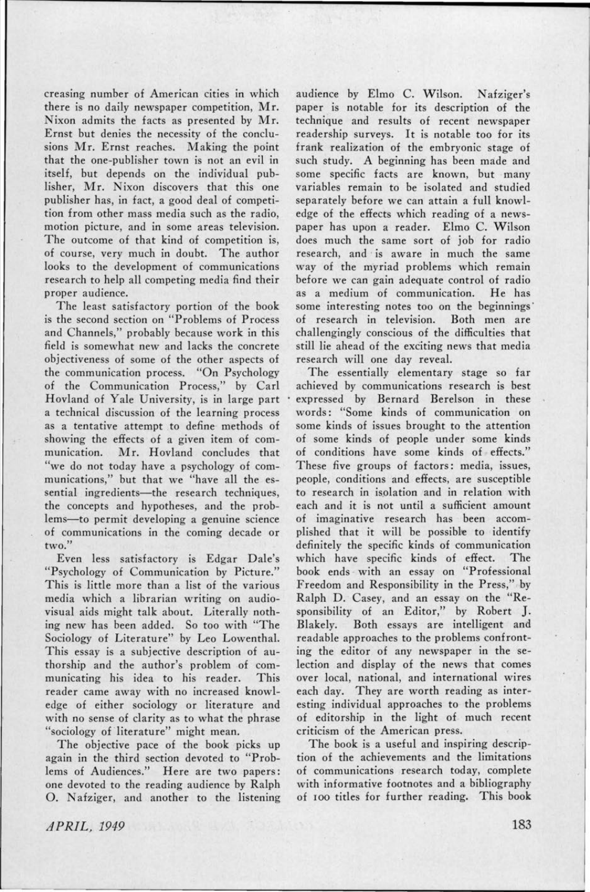creasing number of American cities in which there is no daily newspaper competition, Mr. Nixon admits the facts as presented by Mr. Ernst but denies the necessity of the conclusions Mr. Ernst reaches. Making the point that the one-publisher town is not an evil in itself, but depends on the individual publisher, Mr. Nixon discovers that this one publisher has, in fact, a good deal of competition from other mass media such as the radio, motion picture, and in some areas television. The outcome of that kind of competition is, of course, very much in doubt. The author looks to the development of communications research to help all competing media find their proper audience.

The least satisfactory portion of the book is the second section on "Problems of Process and Channels," probably because work in this field is somewhat new and lacks the concrete objectiveness of some of the other aspects of the communication process. "On Psychology of the Communication Process," by Carl Hovland of Yale University, is in large part a technical discussion of the learning process as a tentative attempt to define methods of showing the effects of a given item of communication. Mr. Hovland concludes that "we do not today have a psychology of communications," but that we "have all the essential ingredients-the research techniques, the concepts and hypotheses, and the problems-to permit developing a genuine science of communications in the coming decade or two."

Even less satisfactory is Edgar Dale's "Psychology of Communication by Picture." This is little more than a list of the various media which a librarian writing on audiovisual aids might talk about. Literally nothing new has been added. So too with "The Sociology of Literature" by Leo Lowenthal. This essay is a subjective description of authorship and the author's problem of communicating his idea to his reader. This reader came away with no increased knowledge of either sociology or literature and with no sense of clarity as to what the phrase "sociology of literature" might mean.

The objective pace of the book picks up again in the third section devoted to "Problems of Audiences." Here are two papers: one devoted to the reading audience by Ralph 0. Nafziger, and another to the listening audience by Elmo C. Wilson. Nafziger's paper is notable for its description of the technique and results of recent newspaper readership surveys. It is notable too for its frank realization of the embryonic stage of such study. A beginning has been made and some specific facts are known, but many variables remain to be isolated and studied separately before we can attain a full knowledge of the effects which reading of a newspaper has upon a reader. Elmo C. Wilson does much the same sort of job for radio research, and is aware in much the same way of the myriad problems which remain before we can gain adequate control of radio as a medium of communication. He has some interesting notes too on the beginnings· of research in television. Both men are challengingly conscious of the difficulties that still lie ahead of the exciting news that media research will one day reveal.

The essentially elementary stage so far achieved by communications research is best expressed by Bernard Berelson in these words: "Some kinds of communication on some kinds of issues brought to the attention of some kinds of people under some kinds of conditions have some kinds of effects." These five groups of factors: media, issues, people, conditions and effects, are susceptible to research in isolation and in relation with each and it is not until a sufficient amount of imaginative research has been accomplished that it will be possible to identify definitely the specific kinds of communication which have specific kinds of effect. The book ends with an essay on "Professional Freedom and Responsibility in the Press," by Ralph D. Casey, and an essay on the "Responsibility of an Editor," by Robert J. Blakely. Both essays are intelligent and readable approaches to the problems confronting the editor of any newspaper in the selection and display of the news that comes over local, national, and international wires each day. They are worth reading as interesting individual approaches to the problems of editorship in the light of much recent criticism of the American press.

The book is a useful and inspiring description of the achievements and the limitations of communications research today, complete with informative footnotes and a bibliography of roo titles for further reading. This book

.